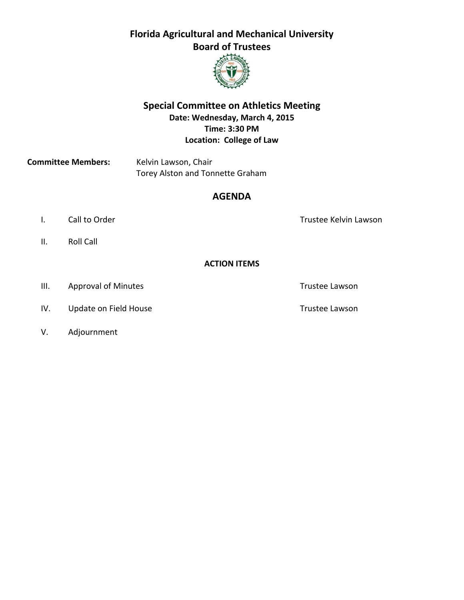# **Florida Agricultural and Mechanical University Board of Trustees**



### **Special Committee on Athletics Meeting Date: Wednesday, March 4, 2015 Time: 3:30 PM Location: College of Law**

**Committee Members:** Kelvin Lawson, Chair Torey Alston and Tonnette Graham

### **AGENDA**

- I. Call to Order Trustee Kelvin Lawson
- II. Roll Call

#### **ACTION ITEMS**

- III. Approval of Minutes **Trustee Lawson**
- IV. Update on Field House Trustee Lawson
- V. Adjournment